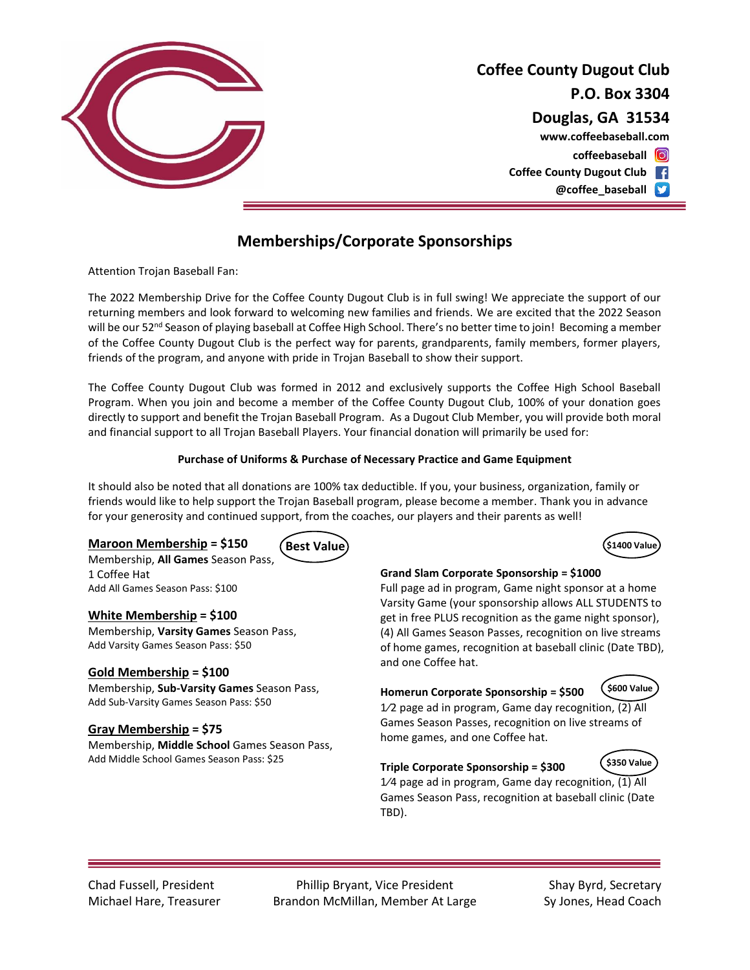

# **Coffee County Dugout Club P.O. Box 3304 Douglas, GA 31534 coffeebaseball www.coffeebaseball.com**

**Coffee County Dugout Club**

**@coffee\_baseball**

## **Memberships/Corporate Sponsorships**

Attention Trojan Baseball Fan:

The 2022 Membership Drive for the Coffee County Dugout Club is in full swing! We appreciate the support of our returning members and look forward to welcoming new families and friends. We are excited that the 2022 Season will be our 52<sup>nd</sup> Season of playing baseball at Coffee High School. There's no better time to join! Becoming a member of the Coffee County Dugout Club is the perfect way for parents, grandparents, family members, former players, friends of the program, and anyone with pride in Trojan Baseball to show their support.

The Coffee County Dugout Club was formed in 2012 and exclusively supports the Coffee High School Baseball Program. When you join and become a member of the Coffee County Dugout Club, 100% of your donation goes directly to support and benefit the Trojan Baseball Program. As a Dugout Club Member, you will provide both moral and financial support to all Trojan Baseball Players. Your financial donation will primarily be used for:

#### **Purchase of Uniforms & Purchase of Necessary Practice and Game Equipment**

It should also be noted that all donations are 100% tax deductible. If you, your business, organization, family or friends would like to help support the Trojan Baseball program, please become a member. Thank you in advance for your generosity and continued support, from the coaches, our players and their parents as well!

#### **Maroon Membership = \$150**



Membership, **All Games** Season Pass, 1 Coffee Hat Add All Games Season Pass: \$100

#### **White Membership = \$100**

Membership, **Varsity Games** Season Pass, Add Varsity Games Season Pass: \$50

#### **Gold Membership = \$100**

Membership, **Sub-Varsity Games** Season Pass, Add Sub-Varsity Games Season Pass: \$50

#### **Gray Membership = \$75**

Membership, **Middle School** Games Season Pass, Add Middle School Games Season Pass: \$25

#### **Grand Slam Corporate Sponsorship = \$1000**

Full page ad in program, Game night sponsor at a home Varsity Game (your sponsorship allows ALL STUDENTS to get in free PLUS recognition as the game night sponsor), (4) All Games Season Passes, recognition on live streams of home games, recognition at baseball clinic (Date TBD), and one Coffee hat.



**Homerun Corporate Sponsorship = \$500** 1⁄2 page ad in program, Game day recognition, (2) All Games Season Passes, recognition on live streams of home games, and one Coffee hat.

### **\$350 Value**

1/4 page ad in program, Game day recognition, (1) All Games Season Pass, recognition at baseball clinic (Date TBD).

**Triple Corporate Sponsorship = \$300**

Chad Fussell, President Phillip Bryant, Vice President Shay Byrd, Secretary Michael Hare, Treasurer **Brandon McMillan, Member At Large** Sy Jones, Head Coach